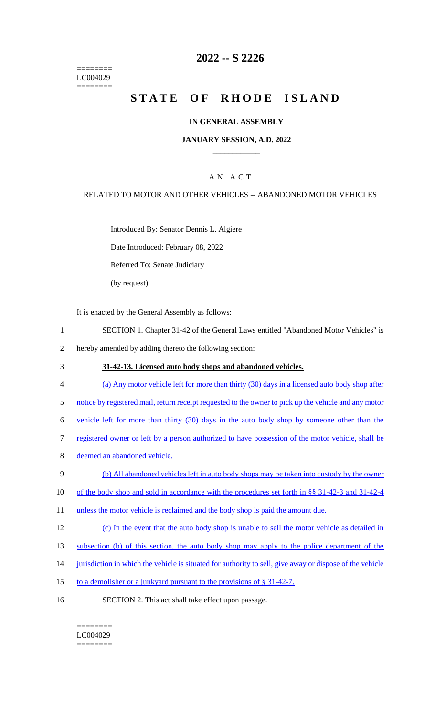======== LC004029 ========

### **2022 -- S 2226**

# **STATE OF RHODE ISLAND**

#### **IN GENERAL ASSEMBLY**

#### **JANUARY SESSION, A.D. 2022 \_\_\_\_\_\_\_\_\_\_\_\_**

### A N A C T

#### RELATED TO MOTOR AND OTHER VEHICLES -- ABANDONED MOTOR VEHICLES

Introduced By: Senator Dennis L. Algiere

Date Introduced: February 08, 2022

Referred To: Senate Judiciary

(by request)

It is enacted by the General Assembly as follows:

- 1 SECTION 1. Chapter 31-42 of the General Laws entitled "Abandoned Motor Vehicles" is
- 2 hereby amended by adding thereto the following section:
- 3 **31-42-13. Licensed auto body shops and abandoned vehicles.**
- 4 (a) Any motor vehicle left for more than thirty (30) days in a licensed auto body shop after
- 5 notice by registered mail, return receipt requested to the owner to pick up the vehicle and any motor
- 6 vehicle left for more than thirty (30) days in the auto body shop by someone other than the
- 7 registered owner or left by a person authorized to have possession of the motor vehicle, shall be
- 8 deemed an abandoned vehicle.
- 9 (b) All abandoned vehicles left in auto body shops may be taken into custody by the owner
- 10 of the body shop and sold in accordance with the procedures set forth in §§ 31-42-3 and 31-42-4
- 11 unless the motor vehicle is reclaimed and the body shop is paid the amount due.
- 12 (c) In the event that the auto body shop is unable to sell the motor vehicle as detailed in
- 13 subsection (b) of this section, the auto body shop may apply to the police department of the
- 14 jurisdiction in which the vehicle is situated for authority to sell, give away or dispose of the vehicle
- 15 to a demolisher or a junkyard pursuant to the provisions of § 31-42-7.
- 16 SECTION 2. This act shall take effect upon passage.

### ======== LC004029

========